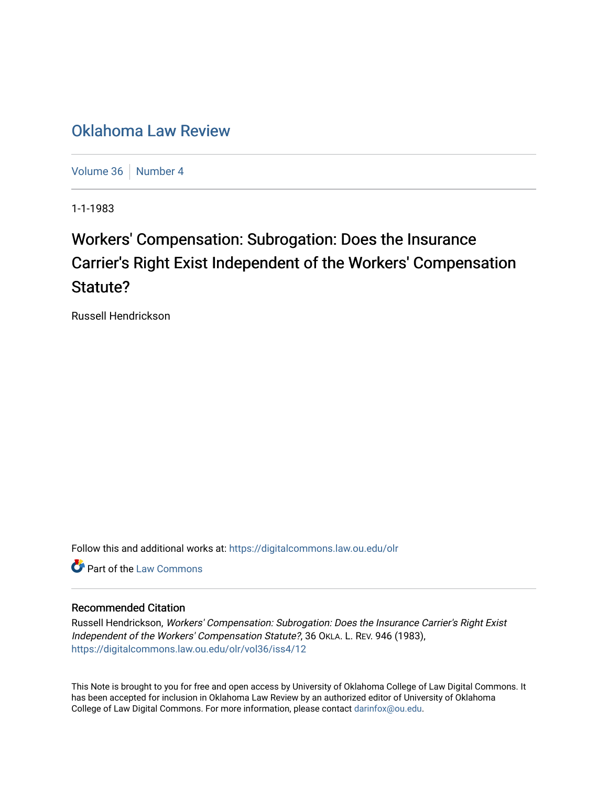## [Oklahoma Law Review](https://digitalcommons.law.ou.edu/olr)

[Volume 36](https://digitalcommons.law.ou.edu/olr/vol36) | [Number 4](https://digitalcommons.law.ou.edu/olr/vol36/iss4)

1-1-1983

# Workers' Compensation: Subrogation: Does the Insurance Carrier's Right Exist Independent of the Workers' Compensation Statute?

Russell Hendrickson

Follow this and additional works at: [https://digitalcommons.law.ou.edu/olr](https://digitalcommons.law.ou.edu/olr?utm_source=digitalcommons.law.ou.edu%2Folr%2Fvol36%2Fiss4%2F12&utm_medium=PDF&utm_campaign=PDFCoverPages)

**C** Part of the [Law Commons](http://network.bepress.com/hgg/discipline/578?utm_source=digitalcommons.law.ou.edu%2Folr%2Fvol36%2Fiss4%2F12&utm_medium=PDF&utm_campaign=PDFCoverPages)

#### Recommended Citation

Russell Hendrickson, Workers' Compensation: Subrogation: Does the Insurance Carrier's Right Exist Independent of the Workers' Compensation Statute?, 36 OKLA. L. REV. 946 (1983), [https://digitalcommons.law.ou.edu/olr/vol36/iss4/12](https://digitalcommons.law.ou.edu/olr/vol36/iss4/12?utm_source=digitalcommons.law.ou.edu%2Folr%2Fvol36%2Fiss4%2F12&utm_medium=PDF&utm_campaign=PDFCoverPages) 

This Note is brought to you for free and open access by University of Oklahoma College of Law Digital Commons. It has been accepted for inclusion in Oklahoma Law Review by an authorized editor of University of Oklahoma College of Law Digital Commons. For more information, please contact [darinfox@ou.edu.](mailto:darinfox@ou.edu)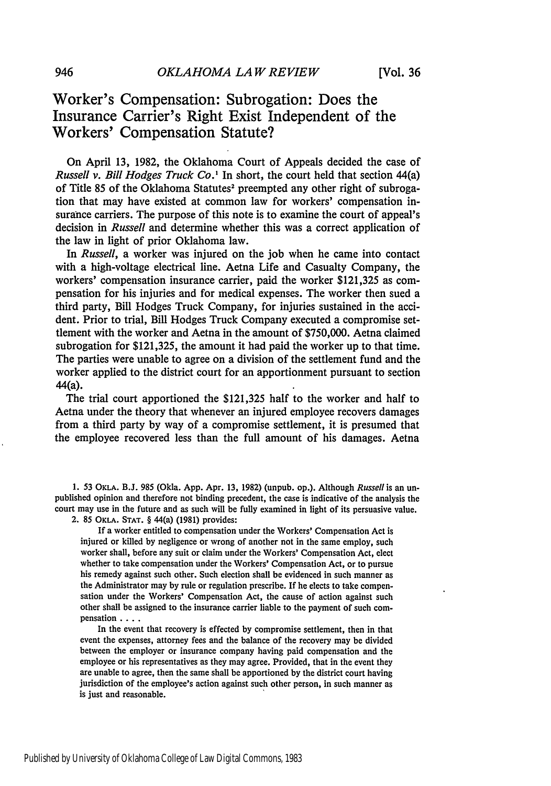### Worker's Compensation: Subrogation: Does the Insurance Carrier's Right Exist Independent of the Workers' Compensation Statute?

On April 13, 1982, the Oklahoma Court of Appeals decided the case of *Russell v. Bill Hodges Truck Co.'* In short, the court held that section 44(a) of Title 85 of the Oklahoma Statutes<sup>2</sup> preempted any other right of subrogation that may have existed at common law for workers' compensation insurance carriers. The purpose of this note is to examine the court of appeal's decision in *Russell* and determine whether this was a correct application of the law in light of prior Oklahoma law.

In *Russell,* a worker was injured on the job when he came into contact with a high-voltage electrical line. Aetna Life and Casualty Company, the workers' compensation insurance carrier, paid the worker \$121,325 as compensation for his injuries and for medical expenses. The worker then sued a third party, Bill Hodges Truck Company, for injuries sustained in the accident. Prior to trial, Bill Hodges Truck Company executed a compromise settlement with the worker and Aetna in the amount of \$750,000. Aetna claimed subrogation for \$121,325, the amount it had paid the worker up to that time. The parties were unable to agree on a division of the settlement fund and the worker applied to the district court for an apportionment pursuant to section 44(a).

The trial court apportioned the \$121,325 half to the worker and half to Aetna under the theory that whenever an injured employee recovers damages from a third party by way of a compromise settlement, it is presumed that the employee recovered less than the full amount of his damages. Aetna

**1. 53** OKLA. **B.J. 985** (Okla. **App.** Apr. **13,** 1982) (unpub. op.). Although Russell is an unpublished opinion and therefore not binding precedent, the case is indicative of the analysis the court may use in the future and as such will be fully examined in light of its persuasive value. 2. 85 OKLA. **STAT.** § 44(a) (1981) provides:

If a worker entitled to compensation under the Workers' Compensation Act is injured or killed by negligence or wrong of another not in the same employ, such worker shall, before any suit or claim under the Workers' Compensation Act, elect whether to take compensation under the Workers' Compensation Act, or to pursue his remedy against such other. Such election shall be evidenced in such manner as the Administrator may by rule or regulation prescribe. If he elects to take compensation under the Workers' Compensation Act, the cause of action against such other shall be assigned to the insurance carrier liable to the payment of such compensation . **..**

In the event that recovery is effected by compromise settlement, then in that event the expenses, attorney fees and the balance of the recovery may be divided between the employer or insurance company having paid compensation and the employee or his representatives as they may agree. Provided, that in the event they are unable to agree, then the same shall be apportioned by the district court having jurisdiction of the employee's action against such other person, in such manner as is just and reasonable.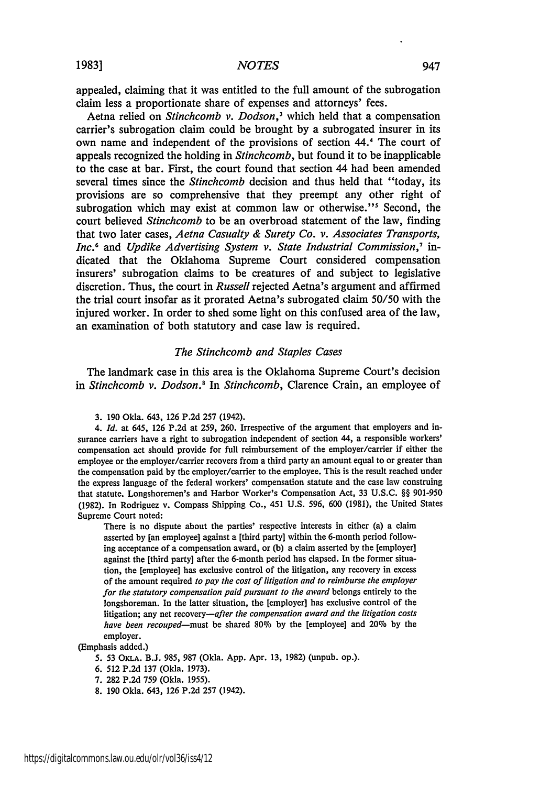appealed, claiming that it was entitled to the full amount of the subrogation claim less a proportionate share of expenses and attorneys' fees.

Aetna relied on *Stinchcomb v. Dodson3* which held that a compensation carrier's subrogation claim could be brought by a subrogated insurer in its own name and independent of the provisions of section 44.4 The court of appeals recognized the holding in *Stinchcomb,* but found it to be inapplicable to the case at bar. First, the court found that section 44 had been amended several times since the *Stinchcomb* decision and thus held that "today, its provisions are so comprehensive that they preempt any other right of subrogation which may exist at common law or otherwise."<sup>5</sup> Second, the court believed *Stinchcomb* to be an overbroad statement of the law, finding that two later cases, *Aetna Casualty & Surety Co. v. Associates Transports, Inc.6 and Updike Advertising System v. State Industrial Commission,'* indicated that the Oklahoma Supreme Court considered compensation insurers' subrogation claims to be creatures of and subject to legislative discretion. Thus, the court in *Russell* rejected Aetna's argument and affirmed the trial court insofar as it prorated Aetna's subrogated claim 50/50 with the injured worker. In order to shed some light on this confused area of the law, an examination of both statutory and case law is required.

#### *The Stinchcomb and Staples Cases*

The landmark case in this area is the Oklahoma Supreme Court's decision in *Stinchcomb v. Dodson.<sup>8</sup>*In *Stinchcomb,* Clarence Crain, an employee of

3. 190 Okla. 643, 126 P.2d 257 (1942).

*4. Id.* at 645, 126 P.2d at 259, 260. Irrespective of the argument that employers and insurance carriers have a right to subrogation independent of section 44, a responsible workers' compensation act should provide for full reimbursement of the employer/carrier if either the employee or the employer/carrier recovers from a third party an amount equal to or greater than the compensation paid by the employer/carrier to the employee. This is the result reached under the express language of the federal workers' compensation statute and the case law construing that statute. Longshoremen's and Harbor Worker's Compensation Act, 33 U.S.C. §§ **901-950** (1982). In Rodriguez v. Compass Shipping Co., 451 U.S. 596, 600 (1981), the United States Supreme Court noted:

There is no dispute about the parties' respective interests in either (a) a claim asserted by [an employee] against a [third party] within the 6-month period following acceptance of a compensation award, or **(b)** a claim asserted by the [employer] against the [third party] after the 6-month period has elapsed. In the former situation, the [employee] has exclusive control of the litigation, any recovery in excess of the amount required to *pay the cost of litigation and to reimburse the employer for the statutory compensation paid pursuant to the award* belongs entirely to the longshoreman. In the latter situation, the [employer] has exclusive control of the litigation; any net recovery-after *the compensation award and the litigation costs have been recouped-must* be shared **80%** by the [employee] and 20% by the employer.

#### (Emphasis added.)

**5. 53 OKLA. B.J. 985, 987** (Okla. App. Apr. 13, 1982) (unpub. op.).

- **6. 512 P.2d 137** (Okla. **1973).**
- **7. 282 P.2d 759** (Okla. 1955).
- **8. 190** Okla. 643, **126 P.2d 257** (1942).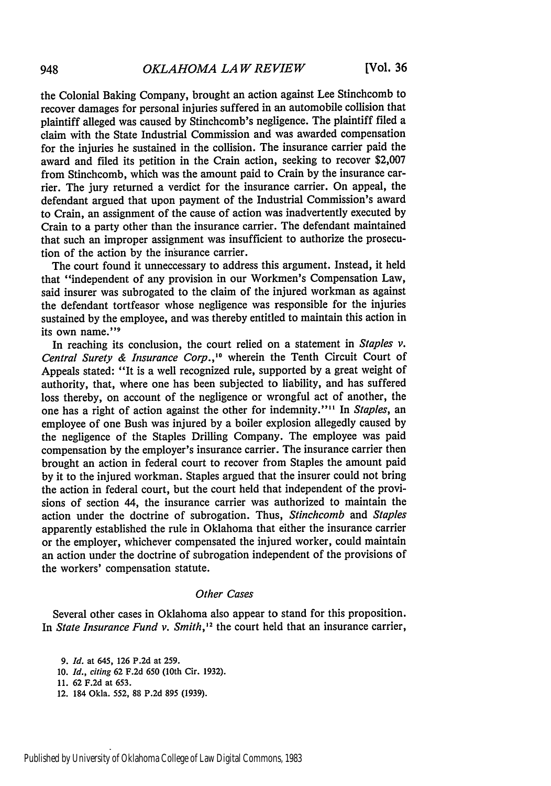the Colonial Baking Company, brought an action against Lee Stinchcomb to recover damages for personal injuries suffered in an automobile collision that plaintiff alleged was caused by Stinchcomb's negligence. The plaintiff filed a claim with the State Industrial Commission and was awarded compensation for the injuries he sustained in the collision. The insurance carrier paid the award and filed its petition in the Crain action, seeking to recover \$2,007 from Stinchcomb, which was the amount paid to Crain by the insurance carrier. The jury returned a verdict for the insurance carrier. On appeal, the defendant argued that upon payment of the Industrial Commission's award to Crain, an assignment of the cause of action was inadvertently executed by Crain to a party other than the insurance carrier. The defendant maintained that such an improper assignment was insufficient to authorize the prosecution of the action by the insurance carrier.

The court found it unneccessary to address this argument. Instead, it held that "independent of any provision in our Workmen's Compensation Law, said insurer was subrogated to the claim of the injured workman as against the defendant tortfeasor whose negligence was responsible for the injuries sustained by the employee, and was thereby entitled to maintain this action in its own name."<sup>9</sup>

In reaching its conclusion, the court relied on a statement in *Staples v. Central Surety & Insurance Corp.,'<sup>0</sup>*wherein the Tenth Circuit Court of Appeals stated: "It is a well recognized rule, supported **by** a great weight of authority, that, where one has been subjected to liability, and has suffered loss thereby, on account of the negligence or wrongful act of another, the one has a right of action against the other for indemnity."" In *Staples,* an employee of one Bush was injured **by** a boiler explosion allegedly caused **by** the negligence of the Staples Drilling Company. The employee was paid compensation **by** the employer's insurance carrier. The insurance carrier then brought an action in federal court to recover from Staples the amount paid **by** it to the injured workman. Staples argued that the insurer could not bring the action in federal court, but the court held that independent of the provisions of section 44, the insurance carrier was authorized to maintain the action under the doctrine of subrogation. Thus, *Stinchcomb* and *Staples* apparently established the rule in Oklahoma that either the insurance carrier or the employer, whichever compensated the injured worker, could maintain an action under the doctrine of subrogation independent of the provisions of the workers' compensation statute.

#### *Other Cases*

Several other cases in Oklahoma also appear to stand for this proposition. In *State Insurance Fund v. Smith*,<sup>12</sup> the court held that an insurance carrier,

*9. Id.* at **645, 126 P.2d at 259.**

**12. 184 Okla. 552, 88 P.2d 895 (1939).**

**<sup>10.</sup>** *Id.,* citing **62 F.2d 650 (10th Cir. 1932).**

**<sup>11. 62</sup> F.2d at 653.**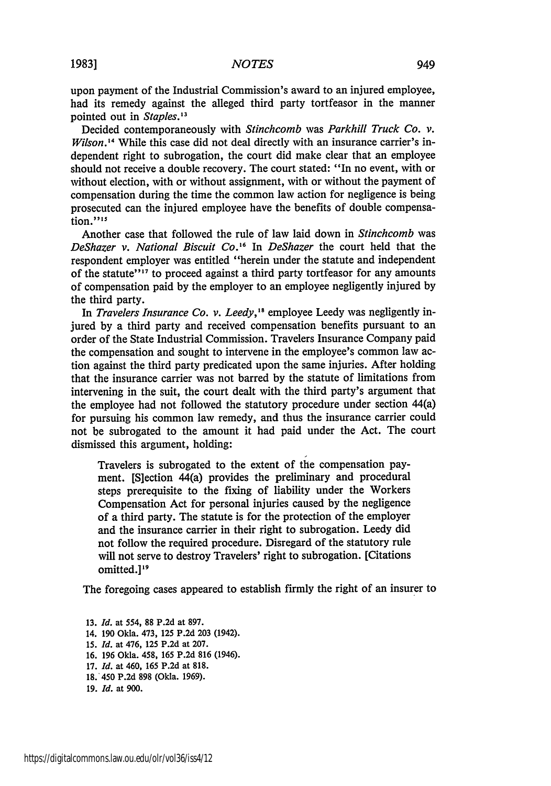upon payment of the Industrial Commission's award to an injured employee, had its remedy against the alleged third party tortfeasor in the manner pointed out in *Staples*.<sup>13</sup>

Decided contemporaneously with *Stinchcomb* was *Parkhill Truck Co. v. Wilson.'"* While this case did not deal directly with an insurance carrier's independent right to subrogation, the court did make clear that an employee should not receive a double recovery. The court stated: "In no event, with or without election, with or without assignment, with or without the payment of compensation during the time the common law action for negligence is being prosecuted can the injured employee have the benefits of double compensation."<sup>15</sup>

Another case that followed the rule of law laid down in *Stinchcomb* was *DeShazer v. National Biscuit Co.'6* In *DeShazer* the court held that the respondent employer was entitled "herein under the statute and independent of the statute<sup>"17</sup> to proceed against a third party tortfeasor for any amounts of compensation paid by the employer to an employee negligently injured by the third party.

In *Travelers Insurance Co. v. Leedy,"* employee Leedy was negligently injured by a third party and received compensation benefits pursuant to an order of the State Industrial Commission. Travelers Insurance Company paid the compensation and sought to intervene in the employee's common law action against the third party predicated upon the same injuries. After holding that the insurance carrier was not barred by the statute of limitations from intervening in the suit, the court dealt with the third party's argument that the employee had not followed the statutory procedure under section 44(a) for pursuing his common law remedy, and thus the insurance carrier could not be subrogated to the amount it had paid under the Act. The court dismissed this argument, holding:

Travelers is subrogated to the extent of the compensation payment. [S]ection 44(a) provides the preliminary and procedural steps prerequisite to the fixing of liability under the Workers Compensation Act for personal injuries caused by the negligence of a third party. The statute is for the protection of the employer and the insurance carrier in their right to subrogation. Leedy did not follow the required procedure. Disregard of the statutory rule will not serve to destroy Travelers' right to subrogation. [Citations omitted.<sup>19</sup>

The foregoing cases appeared to establish firmly the right of an insurer to

13. *Id.* at 554, 88 P.2d at 897. 14. 190 Okla. 473, 125 P.2d 203 (1942). 15. *Id.* at 476, 125 P.2d at 207. 16. 196 Okla. 458, 165 P.2d 816 (1946). 17. *Id.* at 460, 165 P.2d at 818. 18.'450 P.2d 898 (Okla. 1969). 19. *Id.* at 900.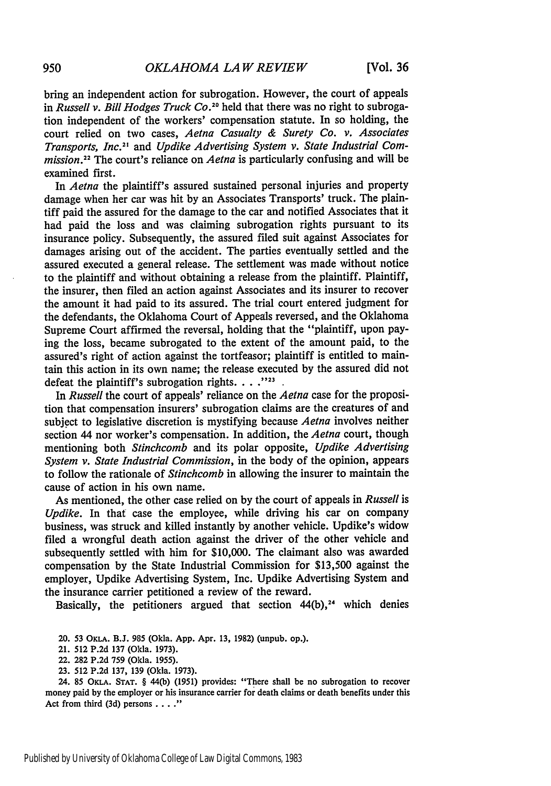bring an independent action for subrogation. However, the court of appeals in *Russell v. Bill Hodges Truck Co.20* held that there was no right to subrogation independent of the workers' compensation statute. In so holding, the court relied on two cases, *Aetna Casualty & Surety Co. v. Associates Transports, Inc.21* and *Updike Advertising System v. State Industrial Commission.22* The court's reliance on *Aetna* is particularly confusing and will be examined first.

In *Aetna* the plaintiff's assured sustained personal injuries and property damage when her car was hit by an Associates Transports' truck. The plaintiff paid the assured for the damage to the car and notified Associates that it had paid the loss and was claiming subrogation rights pursuant to its insurance policy. Subsequently, the assured filed suit against Associates for damages arising out of the accident. The parties eventually settled and the assured executed a general release. The settlement was made without notice to the plaintiff and without obtaining a release from the plaintiff. Plaintiff, the insurer, then filed an action against Associates and its insurer to recover the amount it had paid to its assured. The trial court entered judgment for the defendants, the Oklahoma Court of Appeals reversed, and the Oklahoma Supreme Court affirmed the reversal, holding that the "plaintiff, upon paying the loss, became subrogated to the extent of the amount paid, to the assured's right of action against the tortfeasor; plaintiff is entitled to maintain this action in its own name; the release executed by the assured did not defeat the plaintiff's subrogation rights.  $\ldots$ <sup>223</sup>.

In *Russell* the court of appeals' reliance on the *Aetna* case for the proposition that compensation insurers' subrogation claims are the creatures of and subject to legislative discretion is mystifying because *Aetna* involves neither section 44 nor worker's compensation. In addition, the *Aetna* court, though mentioning both *Stinchcomb* and its polar opposite, *Updike Advertising System v. State Industrial Commission,* in the body of the opinion, appears to follow the rationale of *Stinchcomb* in allowing the insurer to maintain the cause of action in his own name.

As mentioned, the other case relied on **by** the court of appeals in *Russell* is *Updike.* In that case the employee, while driving his car on company business, was struck and killed instantly **by** another vehicle. Updike's widow filed a wrongful death action against the driver of the other vehicle and subsequently settled with him for **\$10,000.** The claimant also was awarded compensation **by** the State Industrial Commission for **\$13,500** against the employer, Updike Advertising System, Inc. Updike Advertising System and the insurance carrier petitioned a review of the reward.

Basically, the petitioners argued that section  $44(b)$ ,<sup>24</sup> which denies

24. **85** OKLA. **STAT.** § 44(b) **(1951)** provides: "There shall be no subrogation to recover money paid **by** the employer or his insurance carrier for death claims or death benefits under this Act from third **(3d)** persons **.... .**

<sup>20.</sup> **53** OKLA. **B.J. 985** (Okla. **App.** Apr. **13, 1982)** (unpub. op.).

<sup>21.</sup> **512 P.2d 137** (Okla. **1973).**

<sup>22.</sup> **282 P.2d 759** (Okla. **1955).**

**<sup>23. 512</sup> P.2d 137, 139** (Okla. **1973).**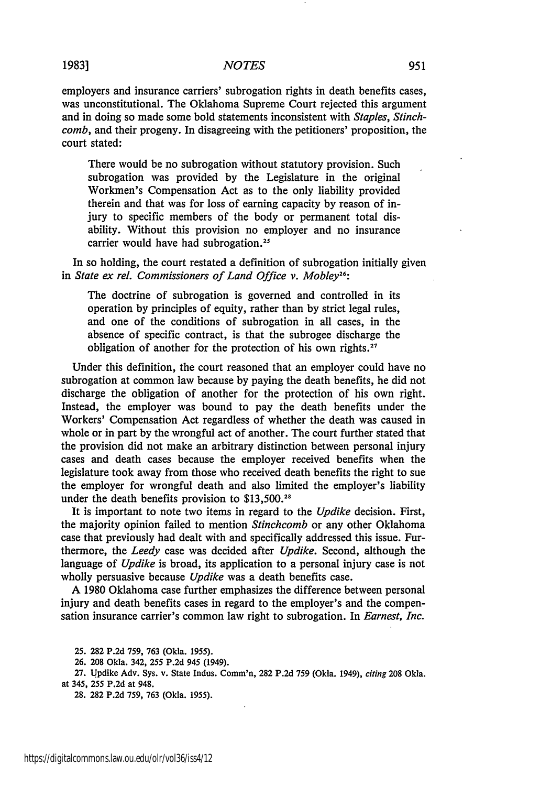#### *NOTES*

employers and insurance carriers' subrogation rights in death benefits cases, was unconstitutional. The Oklahoma Supreme Court rejected this argument and in doing so made some bold statements inconsistent with *Staples, Stinchcomb,* and their progeny. In disagreeing with the petitioners' proposition, the court stated:

There would be no subrogation without statutory provision. Such subrogation was provided by the Legislature in the original Workmen's Compensation Act as to the only liability provided therein and that was for loss of earning capacity by reason of injury to specific members of the body or permanent total disability. Without this provision no employer and no insurance carrier would have had subrogation.<sup>24</sup>

In so holding, the court restated a definition of subrogation initially given in *State ex rel. Commissioners of Land Office v. Mobley<sup>26</sup>:* 

The doctrine of subrogation is governed and controlled in its operation by principles of equity, rather than by strict legal rules, and one of the conditions of subrogation in all cases, in the absence of specific contract, is that the subrogee discharge the obligation of another for the protection of his own rights.<sup>27</sup>

Under this definition, the court reasoned that an employer could have no subrogation at common law because by paying the death benefits, he did not discharge the obligation of another for the protection of his own right. Instead, the employer was bound to pay the death benefits under the Workers' Compensation Act regardless of whether the death was caused in whole or in part by the wrongful act of another. The court further stated that the provision did not make an arbitrary distinction between personal injury cases and death cases because the employer received benefits when the legislature took away from those who received death benefits the right to sue the employer for wrongful death and also limited the employer's liability under the death benefits provision to \$13,500.<sup>28</sup>

It is important to note two items in regard to the *Updike* decision. First, the majority opinion failed to mention *Stinchcomb* or any other Oklahoma case that previously had dealt with and specifically addressed this issue. Furthermore, the *Leedy* case was decided after *Updike.* Second, although the language of *Updike* is broad, its application to a personal injury case is not wholly persuasive because *Updike* was a death benefits case.

A 1980 Oklahoma case further emphasizes the difference between personal injury and death benefits cases in regard to the employer's and the compensation insurance carrier's common law right to subrogation. In *Earnest, Inc.*

25. 282 P.2d **759,** 763 (Okla. 1955).

26. 208 Okla. 342, **255** P.2d 945 (1949).

27. Updike Adv. Sys. v. State Indus. Comm'n, 282 P.2d 759 (Okla. 1949), *citing* 208 Okla. at 345, 255 P.2d at 948.

28. 282 P.2d **759,** 763 (Okla. 1955).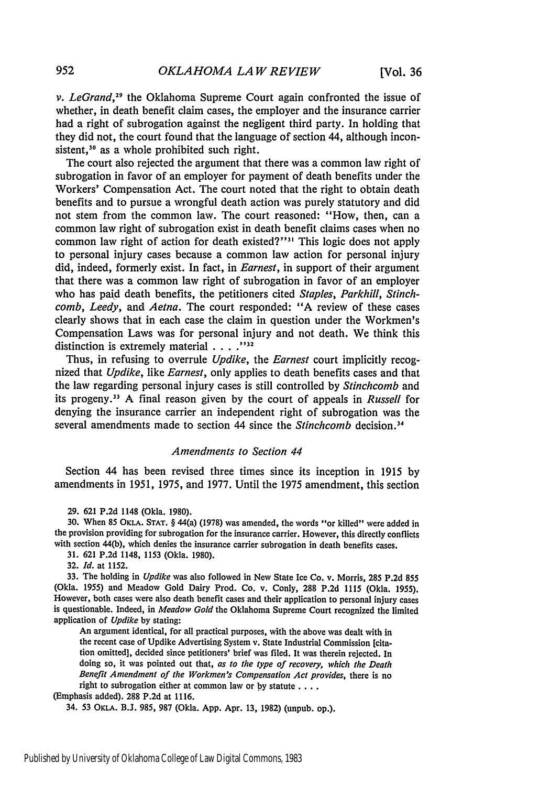v. LeGrand,<sup>29</sup> the Oklahoma Supreme Court again confronted the issue of whether, in death benefit claim cases, the employer and the insurance carrier had a right of subrogation against the negligent third party. In holding that they did not, the court found that the language of section 44, although inconsistent,<sup>30</sup> as a whole prohibited such right.

The court also rejected the argument that there was a common law right of subrogation in favor of an employer for payment of death benefits under the Workers' Compensation Act. The court noted that the right to obtain death benefits and to pursue a wrongful death action was purely statutory and did not stem from the common law. The court reasoned: "How, then, can a common law right of subrogation exist in death benefit claims cases when no common law right of action for death existed?"<sup>31</sup> This logic does not apply to personal injury cases because a common law action for personal injury did, indeed, formerly exist. In fact, in *Earnest,* in support of their argument that there was a common law right of subrogation in favor of an employer who has paid death benefits, the petitioners cited *Staples, Parkhill, Stinchcomb, Leedy,* and *Aetna.* The court responded: "A review of these cases clearly shows that in each case the claim in question under the Workmen's Compensation Laws was for personal injury and not death. We think this distinction is extremely material . . . . "<sup>332</sup>

Thus, in refusing to overrule *Updike,* the *Earnest* court implicitly recognized that *Updike,* like *Earnest,* only applies to death benefits cases and that the law regarding personal injury cases is still controlled by *Stinchcomb* and its progeny. <sup>33</sup>A final reason given by the court of appeals in *Russell* for denying the insurance carrier an independent right of subrogation was the several amendments made to section 44 since the *Stinchcomb* decision.<sup>34</sup>

#### *Amendments to Section 44*

Section 44 has been revised three times since its inception in 1915 by amendments in 1951, 1975, and 1977. Until the 1975 amendment, this section

29. 621 P.2d 1148 (Okla. 1980).

**30.** When 85 **OKLA. STAT.** § 44(a) (1978) was amended, the words "or killed" were added in the provision providing for subrogation for the insurance carrier. However, this directly conflicts with section 44(b), which denies the insurance carrier subrogation in death benefits cases.

31. 621 P.2d 1148, 1153 (Okla. 1980).

32. *Id.* at 1152.

33. The holding in *Updike* was also followed in New State Ice Co. v. Morris, 285 P.2d 855 (Okla. 1955) and Meadow Gold Dairy Prod. Co. v. Conly, 288 P.2d 1115 (Okla. 1955). However, both cases were also death benefit cases and their application to personal injury cases is questionable. Indeed, in *Meadow Gold* the Oklahoma Supreme Court recognized the limited application of *Updike* **by** stating:

An argument identical, for all practical purposes, with the above was dealt with in the recent case of Updike Advertising System v. State Industrial Commission [citation omitted], decided since petitioners' brief was filed. It was therein rejected. In doing so, it was pointed out that, *as to the type of recovery, which the Death Benefit Amendment of the Workmen's Compensation Act provides,* there is no right to subrogation either at common law or **by** statute **....**

(Emphasis added). **288 P.2d** at **1116.**

34. **53** OKLA. **B.J. 985, 987** (Okla. **App.** Apr. **13, 1982)** (unpub. op.).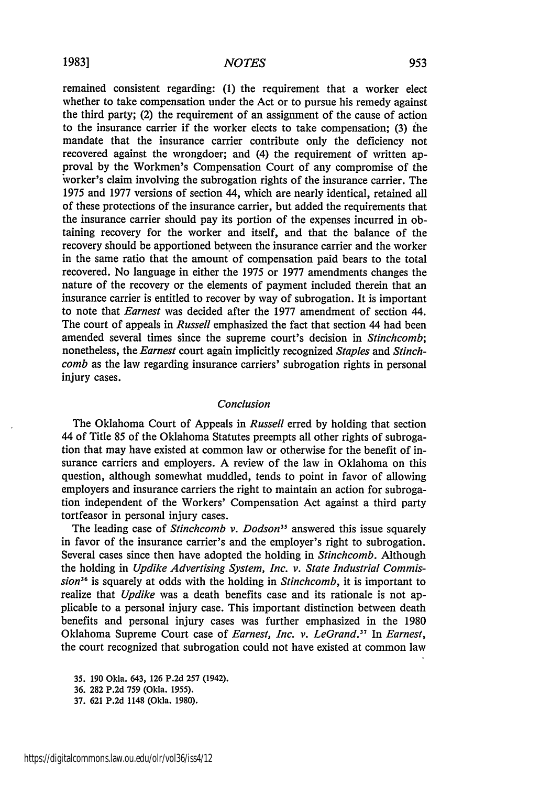#### *NOTES*

remained consistent regarding: (1) the requirement that a worker elect whether to take compensation under the Act or to pursue his remedy against the third party; (2) the requirement of an assignment of the cause of action to the insurance carrier if the worker elects to take compensation; (3) the mandate that the insurance carrier contribute only the deficiency not recovered against the wrongdoer; and (4) the requirement of written approval by the Workmen's Compensation Court of any compromise of the worker's claim involving the subrogation rights of the insurance carrier. The 1975 and 1977 versions of section 44, which are nearly identical, retained all of these protections of the insurance carrier, but added the requirements that the insurance carrier should pay its portion of the expenses incurred in obtaining recovery for the worker and itself, and that the balance of the recovery should be apportioned between the insurance carrier and the worker in the same ratio that the amount of compensation paid bears to the total recovered. No language in either the 1975 or 1977 amendments changes the nature of the recovery or the elements of payment included therein that an insurance carrier is entitled to recover by way of subrogation. It is important to note that *Earnest* was decided after the 1977 amendment of section 44. The court of appeals in *Russell* emphasized the fact that section 44 had been amended several times since the supreme court's decision in *Stinchcomb;* nonetheless, the *Earnest* court again implicitly recognized *Staples* and *Stinchcomb* as the law regarding insurance carriers' subrogation rights in personal injury cases.

#### *Conclusion*

The Oklahoma Court of Appeals in *Russell* erred by holding that section 44 of Title 85 of the Oklahoma Statutes preempts all other rights of subrogation that may have existed at common law or otherwise for the benefit of insurance carriers and employers. A review of the law in Oklahoma on this question, although somewhat muddled, tends to point in favor of allowing employers and insurance carriers the right to maintain an action for subrogation independent of the Workers' Compensation Act against a third party tortfeasor in personal injury cases.

The leading case of *Stinchcomb v. Dodson*<sup>35</sup> answered this issue squarely in favor of the insurance carrier's and the employer's right to subrogation. Several cases since then have adopted the holding in *Stinchcomb.* Although the holding in *Updike Advertising System, Inc. v. State Industrial* Commission<sup>36</sup> is squarely at odds with the holding in *Stinchcomb*, it is important to realize that *Updike* was a death benefits case and its rationale is not applicable to a personal injury case. This important distinction between death benefits and personal injury cases was further emphasized in the 1980 Oklahoma Supreme Court case of *Earnest, Inc. v. LeGrand."* In *Earnest,* the court recognized that subrogation could not have existed at common law

35. 190 Okla. 643, 126 P.2d 257 (1942).

36. 282 P.2d 759 (Okla. **1955).**

37. 621 P.2d 1148 (Okla. 1980).